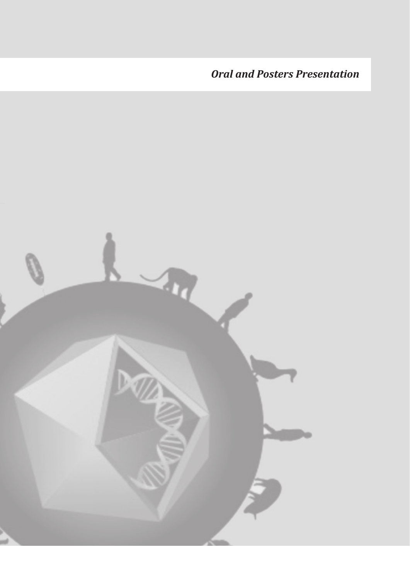*Oral and Posters Presentation* 

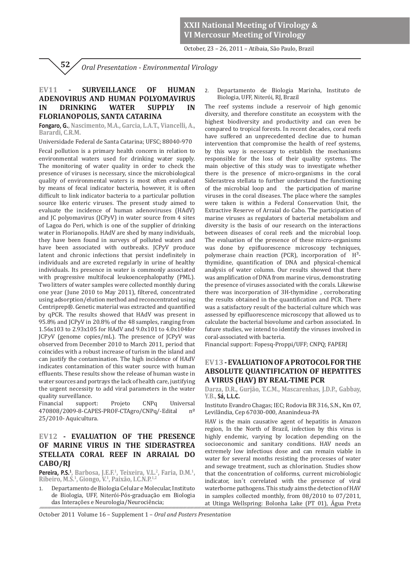**XXII National Meeting of Virology & VI Mercosur Meeting of Virology**

October, 23 – 26, 2011 – Atibaia, São Paulo, Brazil

*Oral Presentation - Environmental Virology*  **52**

## **EV11 - SURVEILLANCE OF HUMAN ADENOVIRUS AND HUMAN POLYOMAVIRUS IN DRINKING WATER SUPPLY IN FLORIANOPOLIS, SANTA CATARINA**

**Fongaro, G., Nascimento, M.A., Garcia, L.A.T., Viancelli, A., Barardi, C.R.M.**

Universidade Federal de Santa Catarina; UFSC; 88040-970

Fecal pollution is a primary health concern in relation to environmental waters used for drinking water supply. The monitoring of water quality in order to check the presence of viruses is necessary, since the microbiological quality of environmental waters is most often evaluated by means of fecal indicator bacteria, however, it is often difficult to link indicator bacteria to a particular pollution source like enteric viruses. The present study aimed to evaluate the incidence of human adenoviruses (HAdV) and JC polyomavirus (JCPyV) in water source from 4 sites of Lagoa do Peri, which is one of the supplier of drinking water in Florianopolis. HAdV are shed by many individuals, they have been found in surveys of polluted waters and have been associated with outbreaks. ICPvV produce latent and chronic infections that persist indefinitely in individuals and are excreted regularly in urine of healthy individuals. Its presence in water is commonly associated with progressive multifocal leukoencephalopathy (PML). Two litters of water samples were collected monthly during one year (June 2010 to May 2011), filtered, concentrated using adsorption/elution method and reconcentrated using Centriprep®. Genetic material was extracted and quantified by qPCR. The results showed that HAdV was present in 95.8% and JCPyV in 20.8% of the 48 samples, ranging from 1.56x103 to 2.93x105 for HAdV and 9.0x101 to 4.0x104for JCPyV (genome copies/mL). The presence of JCPyV was observed from December 2010 to March 2011, period that coincides with a robust increase of turism in the island and can justify the contamination. The high incidence of HAdV indicates contamination of this water source with human effluents. These results show the release of human waste in water sources and portrays the lack of health care, justifying the urgent necessity to add viral parameters in the water quality surveillance.

Financial support: Projeto CNPq Universal 470808/2009-8-CAPES-PROF-CTAgro/CNPq/-Edital nº 25/2010- Aquicultura.

## **EV12 - EVALUATION OF THE PRESENCE OF MARINE VIRUS IN THE SIDERASTREA STELLATA CORAL REEF IN ARRAIAL DO CABO/RJ**

**Pereira, P.S.<sup>1</sup>, Barbosa, J.E.F.<sup>1</sup>, Teixeira, V.L.<sup>2</sup>, Faria, D.M.<sup>1</sup>,<br>Ribeiro, M.S.<sup>1</sup>, Giongo, V.<sup>1</sup>, Paixão, I.C.N.P.<sup>1,2</sup>** 

1. Departamento de Biologia Celular e Molecular, Instituto de Biologia, UFF, Niterói-Pós-graduação em Biologia das Interações e Neurologia/Neurociência;

2. Departamento de Biologia Marinha, Instituto de Biologia, UFF, Niterói, RJ, Brazil

The reef systems include a reservoir of high genomic diversity, and therefore constitute an ecosystem with the highest biodiversity and productivity and can even be compared to tropical forests. In recent decades, coral reefs have suffered an unprecedented decline due to human intervention that compromise the health of reef systems, by this way is necessary to establish the mechanisms responsible for the loss of their quality systems. The main objective of this study was to investigate whether there is the presence of micro-organisms in the coral Siderastrea stellata to further understand the functioning of the microbial loop and the participation of marine viruses in the coral diseases. The place where the samples were taken is within a Federal Conservation Unit, the Extractive Reserve of Arraial do Cabo. The participation of marine viruses as regulators of bacterial metabolism and diversity is the basis of our research on the interactions between diseases of coral reefs and the microbial loop. The evaluation of the presence of these micro-organisms was done by epifluorescence microscopy techniques, polymerase chain reaction (PCR), incorporation of  $H^3$ thymidine, quantification of DNA and physical-chemical analysis of water column. Our results showed that there was amplification of DNA from marine virus, demonstrating the presence of viruses associated with the corals. Likewise there was incorporation of 3H-thymidine , corroborating the results obtained in the quantification and PCR. There was a satisfactory result of the bacterial culture which was assessed by epifluorescence microscopy that allowed us to calculate the bacterial biovolume and carbon associated. In future studies, we intend to identify the viruses involved in coral-associated with bacteria.

Financial support: Fopesq-Proppi/UFF; CNPQ; FAPERJ

## **EV13 - EVALUATION OF A PROTOCOL FOR THE ABSOLUTE QUANTIFICATION OF HEPATITES A VIRUS (HAV) BY REAL-TIME PCR**

 **Darza, D.R., Gurjão, T.C.M., Mascarenhas, J.D.P., Gabbay, Y.B., Sá, L.L.C.**

Instituto Evandro Chagas; IEC; Rodovia BR 316, S.N., Km 07, Levilândia, Cep 67030-000, Ananindeua-PA

HAV is the main causative agent of hepatitis in Amazon region, In the North of Brazil, infection by this virus is highly endemic, varying by location depending on the socioeconomic and sanitary conditions. HAV needs an extremely low infectious dose and can remain viable in water for several months resisting the processes of water and sewage treatment, such as chlorination. Studies show that the concentration of coliforms, current microbiologic indicator, isn´t correlated with the presence of viral waterborne pathogens. This study aims the detection of HAV in samples collected monthly, from 08/2010 to 07/2011, at Utinga Wellspring: Bolonha Lake (PT 01), Água Preta

October 2011 Volume 16 – Supplement 1 – *Oral and Posters Presentation*